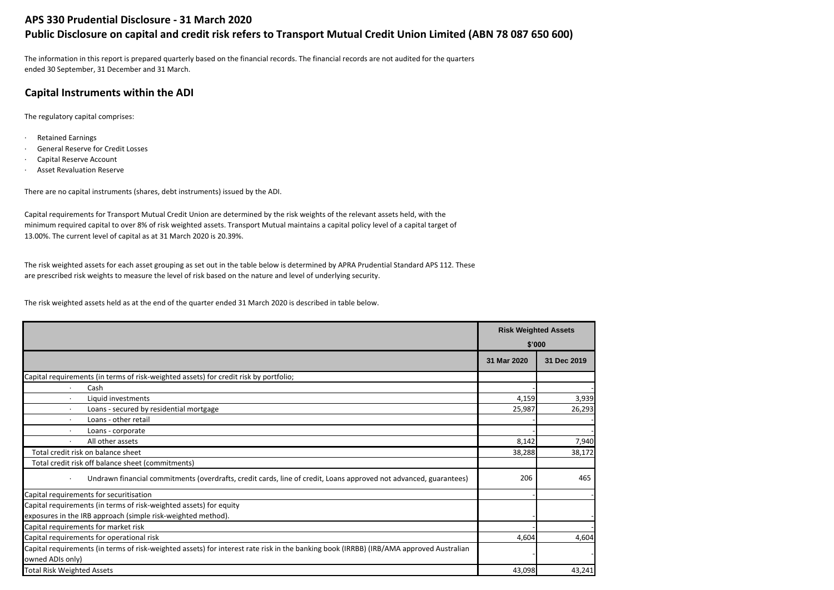# **APS 330 Prudential Disclosure - 31 March 2020**

# **Public Disclosure on capital and credit risk refers to Transport Mutual Credit Union Limited (ABN 78 087 650 600)**

The information in this report is prepared quarterly based on the financial records. The financial records are not audited for the quarters ended 30 September, 31 December and 31 March.

# **Capital Instruments within the ADI**

The regulatory capital comprises:

- · Retained Earnings
- · General Reserve for Credit Losses
- · Capital Reserve Account
- · Asset Revaluation Reserve

There are no capital instruments (shares, debt instruments) issued by the ADI.

Capital requirements for Transport Mutual Credit Union are determined by the risk weights of the relevant assets held, with the minimum required capital to over 8% of risk weighted assets. Transport Mutual maintains a capital policy level of a capital target of 13.00%. The current level of capital as at 31 March 2020 is 20.39%.

The risk weighted assets for each asset grouping as set out in the table below is determined by APRA Prudential Standard APS 112. These are prescribed risk weights to measure the level of risk based on the nature and level of underlying security.

The risk weighted assets held as at the end of the quarter ended 31 March 2020 is described in table below.

|                                                                                                                                         | <b>Risk Weighted Assets</b><br>\$'000 |             |
|-----------------------------------------------------------------------------------------------------------------------------------------|---------------------------------------|-------------|
|                                                                                                                                         |                                       |             |
|                                                                                                                                         | 31 Mar 2020                           | 31 Dec 2019 |
| Capital requirements (in terms of risk-weighted assets) for credit risk by portfolio;                                                   |                                       |             |
| Cash                                                                                                                                    |                                       |             |
| Liquid investments<br>$\cdot$                                                                                                           | 4,159                                 | 3,939       |
| Loans - secured by residential mortgage                                                                                                 | 25,987                                | 26,293      |
| Loans - other retail                                                                                                                    |                                       |             |
| Loans - corporate<br>$\cdot$                                                                                                            |                                       |             |
| All other assets                                                                                                                        | 8,142                                 | 7,940       |
| Total credit risk on balance sheet                                                                                                      | 38,288                                | 38,172      |
| Total credit risk off balance sheet (commitments)                                                                                       |                                       |             |
| Undrawn financial commitments (overdrafts, credit cards, line of credit, Loans approved not advanced, guarantees)<br>$\bullet$          | 206                                   | 465         |
| Capital requirements for securitisation                                                                                                 |                                       |             |
| Capital requirements (in terms of risk-weighted assets) for equity                                                                      |                                       |             |
| exposures in the IRB approach (simple risk-weighted method).                                                                            |                                       |             |
| Capital requirements for market risk                                                                                                    |                                       |             |
| Capital requirements for operational risk                                                                                               | 4,604                                 | 4,604       |
| Capital requirements (in terms of risk-weighted assets) for interest rate risk in the banking book (IRRBB) (IRB/AMA approved Australian |                                       |             |
| owned ADIs only)                                                                                                                        |                                       |             |
| <b>Total Risk Weighted Assets</b>                                                                                                       | 43,098                                | 43,241      |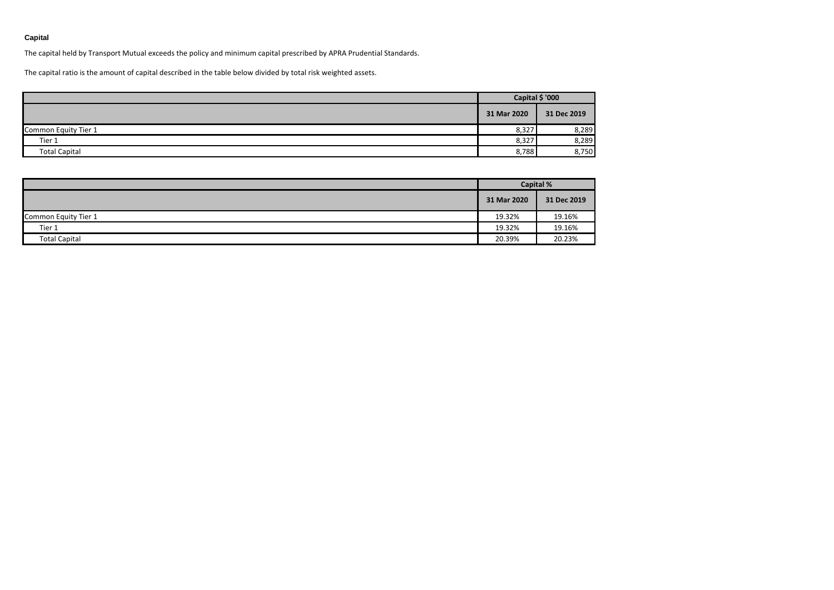### **Capital**

The capital held by Transport Mutual exceeds the policy and minimum capital prescribed by APRA Prudential Standards.

The capital ratio is the amount of capital described in the table below divided by total risk weighted assets.

|                      | Capital \$ '000 |             |
|----------------------|-----------------|-------------|
|                      | 31 Mar 2020     | 31 Dec 2019 |
| Common Equity Tier 1 | 8,327           | 8,289       |
| Tier 1               | 8,327           | 8,289       |
| <b>Total Capital</b> | 8,788           | 8,750       |

|                      | <b>Capital %</b> |             |  |
|----------------------|------------------|-------------|--|
|                      | 31 Mar 2020      | 31 Dec 2019 |  |
| Common Equity Tier 1 | 19.32%           | 19.16%      |  |
| Tier 1               | 19.32%           | 19.16%      |  |
| <b>Total Capital</b> | 20.39%           | 20.23%      |  |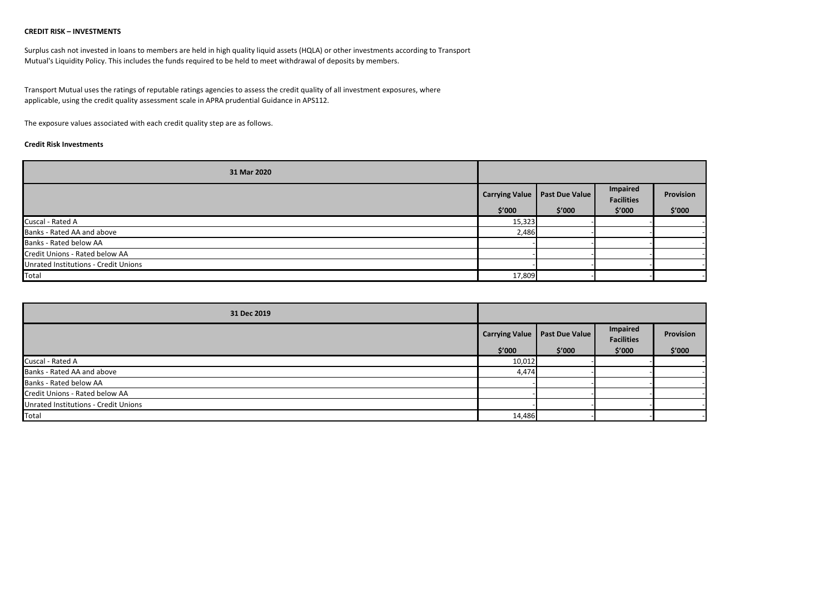#### **CREDIT RISK – INVESTMENTS**

Surplus cash not invested in loans to members are held in high quality liquid assets (HQLA) or other investments according to Transport Mutual's Liquidity Policy. This includes the funds required to be held to meet withdrawal of deposits by members.

Transport Mutual uses the ratings of reputable ratings agencies to assess the credit quality of all investment exposures, where applicable, using the credit quality assessment scale in APRA prudential Guidance in APS112.

The exposure values associated with each credit quality step are as follows.

#### **Credit Risk Investments**

| 31 Mar 2020                          |                       |                |                               |           |
|--------------------------------------|-----------------------|----------------|-------------------------------|-----------|
|                                      | <b>Carrying Value</b> | Past Due Value | Impaired<br><b>Facilities</b> | Provision |
|                                      | \$′000                | \$′000         | \$′000                        | \$′000    |
| Cuscal - Rated A                     | 15,323                |                |                               |           |
| Banks - Rated AA and above           | 2,486                 |                |                               |           |
| Banks - Rated below AA               |                       |                |                               |           |
| Credit Unions - Rated below AA       |                       |                |                               |           |
| Unrated Institutions - Credit Unions |                       |                |                               |           |
| Total                                | 17,809                |                |                               |           |

| 31 Dec 2019                          |                       |                       |                               |           |
|--------------------------------------|-----------------------|-----------------------|-------------------------------|-----------|
|                                      | <b>Carrying Value</b> | <b>Past Due Value</b> | Impaired<br><b>Facilities</b> | Provision |
|                                      | \$′000                | \$′000                | \$′000                        | \$′000    |
| Cuscal - Rated A                     | 10,012                |                       |                               |           |
| Banks - Rated AA and above           | 4,474                 |                       |                               |           |
| Banks - Rated below AA               |                       |                       |                               |           |
| Credit Unions - Rated below AA       |                       |                       |                               |           |
| Unrated Institutions - Credit Unions |                       |                       |                               |           |
| Total                                | 14,486                |                       |                               |           |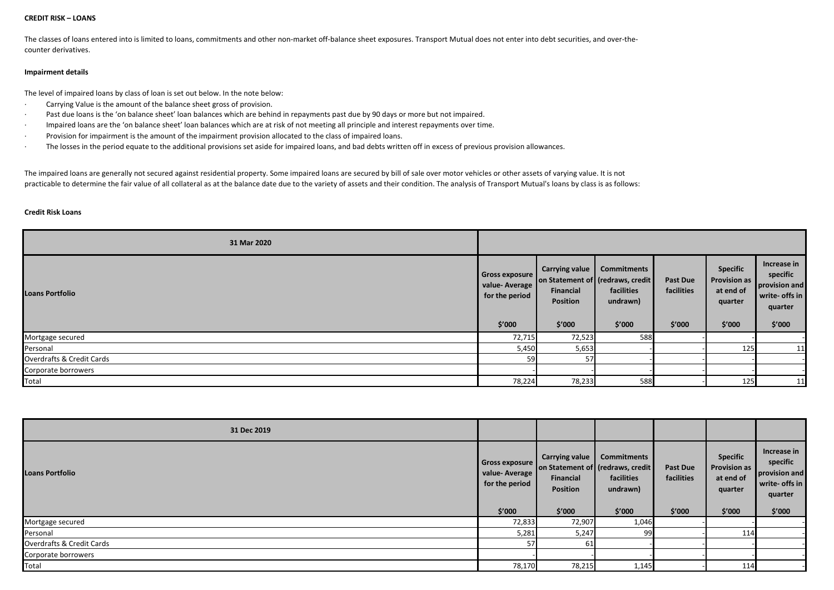#### **CREDIT RISK – LOANS**

The classes of loans entered into is limited to loans, commitments and other non-market off-balance sheet exposures. Transport Mutual does not enter into debt securities, and over-thecounter derivatives.

#### **Impairment details**

The level of impaired loans by class of loan is set out below. In the note below:

- · Carrying Value is the amount of the balance sheet gross of provision.
- · Past due loans is the 'on balance sheet' loan balances which are behind in repayments past due by 90 days or more but not impaired.
- · Impaired loans are the 'on balance sheet' loan balances which are at risk of not meeting all principle and interest repayments over time.
- · Provision for impairment is the amount of the impairment provision allocated to the class of impaired loans.
- · The losses in the period equate to the additional provisions set aside for impaired loans, and bad debts written off in excess of previous provision allowances.

The impaired loans are generally not secured against residential property. Some impaired loans are secured by bill of sale over motor vehicles or other assets of varying value. It is not practicable to determine the fair value of all collateral as at the balance date due to the variety of assets and their condition. The analysis of Transport Mutual's loans by class is as follows:

#### **Credit Risk Loans**

| 31 Mar 2020               |                                                             |                                                                                                      |                                  |                                         |                                                                   |                                                                                 |
|---------------------------|-------------------------------------------------------------|------------------------------------------------------------------------------------------------------|----------------------------------|-----------------------------------------|-------------------------------------------------------------------|---------------------------------------------------------------------------------|
| <b>Loans Portfolio</b>    | Gross exposure<br>value-Average<br>for the period<br>\$′000 | Carrying value   Commitments<br>on Statement of (redraws, credit)<br>Financial<br>Position<br>\$′000 | facilities<br>undrawn)<br>\$′000 | <b>Past Due</b><br>facilities<br>\$′000 | <b>Specific</b><br>Provision as<br>at end of<br>quarter<br>\$′000 | Increase in<br>specific<br>provision and<br>write- offs in<br>quarter<br>\$′000 |
| Mortgage secured          | 72,715                                                      | 72,523                                                                                               | 588                              |                                         |                                                                   |                                                                                 |
| Personal                  | 5,450                                                       | 5,653                                                                                                |                                  |                                         | 125                                                               | 11                                                                              |
| Overdrafts & Credit Cards | 59                                                          | 57                                                                                                   |                                  |                                         |                                                                   |                                                                                 |
| Corporate borrowers       |                                                             |                                                                                                      |                                  |                                         |                                                                   |                                                                                 |
| Total                     | 78,224                                                      | 78,233                                                                                               | 588                              |                                         | 125                                                               | 11                                                                              |

| 31 Dec 2019                          |                                                             |                                                                 |                                                                       |                                         |                                                                          |                                                                                 |
|--------------------------------------|-------------------------------------------------------------|-----------------------------------------------------------------|-----------------------------------------------------------------------|-----------------------------------------|--------------------------------------------------------------------------|---------------------------------------------------------------------------------|
| <b>Loans Portfolio</b>               | Gross exposure<br>value-Average<br>for the period<br>\$′000 | Carrying value   Commitments<br>Financial<br>Position<br>\$'000 | on Statement of (redraws, credit)<br>facilities<br>undrawn)<br>\$′000 | <b>Past Due</b><br>facilities<br>\$'000 | <b>Specific</b><br><b>Provision as</b><br>at end of<br>quarter<br>\$'000 | Increase in<br>specific<br>provision and<br>write- offs in<br>quarter<br>\$′000 |
| Mortgage secured                     | 72,833                                                      | 72,907                                                          | 1,046                                                                 |                                         |                                                                          |                                                                                 |
| Personal                             | 5,281                                                       | 5,247                                                           | 99                                                                    |                                         | 114                                                                      |                                                                                 |
| <b>Overdrafts &amp; Credit Cards</b> | 57                                                          | 61                                                              |                                                                       |                                         |                                                                          |                                                                                 |
| Corporate borrowers                  |                                                             |                                                                 |                                                                       |                                         |                                                                          |                                                                                 |
| Total                                | 78,170                                                      | 78,215                                                          | 1,145                                                                 |                                         | 114                                                                      |                                                                                 |